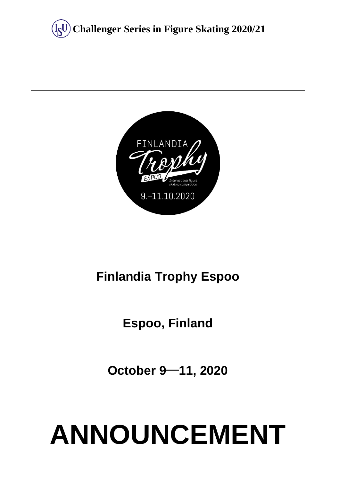



# **Finlandia Trophy Espoo**

# **Espoo, Finland**

**October 9**─**11, 2020**

# **ANNOUNCEMENT**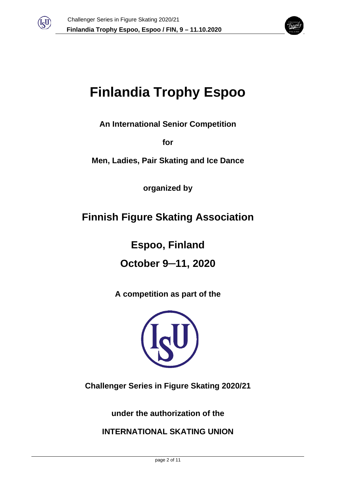



# **Finlandia Trophy Espoo**

**An International Senior Competition** 

**for** 

**Men, Ladies, Pair Skating and Ice Dance**

**organized by**

# **Finnish Figure Skating Association**

**Espoo, Finland**

**October 9─11, 2020**

**A competition as part of the**



**Challenger Series in Figure Skating 2020/21**

**under the authorization of the** 

**INTERNATIONAL SKATING UNION**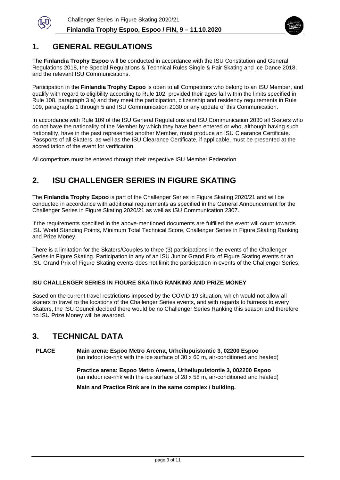



#### **1. GENERAL REGULATIONS**

The **Finlandia Trophy Espoo** will be conducted in accordance with the ISU Constitution and General Regulations 2018, the Special Regulations & Technical Rules Single & Pair Skating and Ice Dance 2018, and the relevant ISU Communications.

Participation in the **Finlandia Trophy Espoo** is open to all Competitors who belong to an ISU Member, and qualify with regard to eligibility according to Rule 102, provided their ages fall within the limits specified in Rule 108, paragraph 3 a) and they meet the participation, citizenship and residency requirements in Rule 109, paragraphs 1 through 5 and ISU Communication 2030 or any update of this Communication.

In accordance with Rule 109 of the ISU General Regulations and ISU Communication 2030 all Skaters who do not have the nationality of the Member by which they have been entered or who, although having such nationality, have in the past represented another Member, must produce an ISU Clearance Certificate. Passports of all Skaters, as well as the ISU Clearance Certificate, if applicable, must be presented at the accreditation of the event for verification.

All competitors must be entered through their respective ISU Member Federation.

# **2. ISU CHALLENGER SERIES IN FIGURE SKATING**

The **Finlandia Trophy Espoo** is part of the Challenger Series in Figure Skating 2020/21 and will be conducted in accordance with additional requirements as specified in the General Announcement for the Challenger Series in Figure Skating 2020/21 as well as ISU Communication 2307.

If the requirements specified in the above-mentioned documents are fulfilled the event will count towards ISU World Standing Points, Minimum Total Technical Score, Challenger Series in Figure Skating Ranking and Prize Money.

There is a limitation for the Skaters/Couples to three (3) participations in the events of the Challenger Series in Figure Skating. Participation in any of an ISU Junior Grand Prix of Figure Skating events or an ISU Grand Prix of Figure Skating events does not limit the participation in events of the Challenger Series.

#### **ISU CHALLENGER SERIES IN FIGURE SKATING RANKING AND PRIZE MONEY**

Based on the current travel restrictions imposed by the COVID-19 situation, which would not allow all skaters to travel to the locations of the Challenger Series events, and with regards to fairness to every Skaters, the ISU Council decided there would be no Challenger Series Ranking this season and therefore no ISU Prize Money will be awarded.

### **3. TECHNICAL DATA**

**PLACE Main arena: Espoo Metro Areena, Urheilupuistontie 3, 02200 Espoo** (an indoor ice-rink with the ice surface of 30 x 60 m, air-conditioned and heated)

> **Practice arena: Espoo Metro Areena, Urheilupuistontie 3, 002200 Espoo** (an indoor ice-rink with the ice surface of 28 x 58 m, air-conditioned and heated)

**Main and Practice Rink are in the same complex / building.**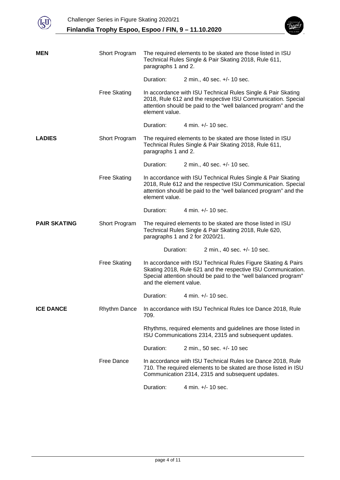



| MEN                 | Short Program       | The required elements to be skated are those listed in ISU<br>Technical Rules Single & Pair Skating 2018, Rule 611,<br>paragraphs 1 and 2.                                                                                 |  |                             |  |
|---------------------|---------------------|----------------------------------------------------------------------------------------------------------------------------------------------------------------------------------------------------------------------------|--|-----------------------------|--|
|                     |                     | Duration:                                                                                                                                                                                                                  |  | 2 min., 40 sec. +/- 10 sec. |  |
|                     | <b>Free Skating</b> | In accordance with ISU Technical Rules Single & Pair Skating<br>2018, Rule 612 and the respective ISU Communication. Special<br>attention should be paid to the "well balanced program" and the<br>element value.          |  |                             |  |
|                     |                     | Duration:                                                                                                                                                                                                                  |  | 4 min. +/- 10 sec.          |  |
| <b>LADIES</b>       | Short Program       | The required elements to be skated are those listed in ISU<br>Technical Rules Single & Pair Skating 2018, Rule 611,<br>paragraphs 1 and 2.                                                                                 |  |                             |  |
|                     |                     | Duration:                                                                                                                                                                                                                  |  | 2 min., 40 sec. +/- 10 sec. |  |
|                     | <b>Free Skating</b> | In accordance with ISU Technical Rules Single & Pair Skating<br>2018, Rule 612 and the respective ISU Communication. Special<br>attention should be paid to the "well balanced program" and the<br>element value.          |  |                             |  |
|                     |                     | Duration:                                                                                                                                                                                                                  |  | 4 min. $+/- 10$ sec.        |  |
| <b>PAIR SKATING</b> | Short Program       | The required elements to be skated are those listed in ISU<br>Technical Rules Single & Pair Skating 2018, Rule 620,<br>paragraphs 1 and 2 for 2020/21.                                                                     |  |                             |  |
|                     |                     | Duration:                                                                                                                                                                                                                  |  | 2 min., 40 sec. +/- 10 sec. |  |
|                     | <b>Free Skating</b> | In accordance with ISU Technical Rules Figure Skating & Pairs<br>Skating 2018, Rule 621 and the respective ISU Communication.<br>Special attention should be paid to the "well balanced program"<br>and the element value. |  |                             |  |
|                     |                     | Duration:                                                                                                                                                                                                                  |  | 4 min. +/- 10 sec.          |  |
| <b>ICE DANCE</b>    | <b>Rhythm Dance</b> | In accordance with ISU Technical Rules Ice Dance 2018, Rule<br>709.                                                                                                                                                        |  |                             |  |
|                     |                     | Rhythms, required elements and guidelines are those listed in<br>ISU Communications 2314, 2315 and subsequent updates.                                                                                                     |  |                             |  |
|                     |                     | Duration:                                                                                                                                                                                                                  |  | 2 min., 50 sec. +/- 10 sec  |  |
|                     | Free Dance          | In accordance with ISU Technical Rules Ice Dance 2018, Rule<br>710. The required elements to be skated are those listed in ISU<br>Communication 2314, 2315 and subsequent updates.                                         |  |                             |  |
|                     |                     | Duration:                                                                                                                                                                                                                  |  | 4 min. +/- 10 sec.          |  |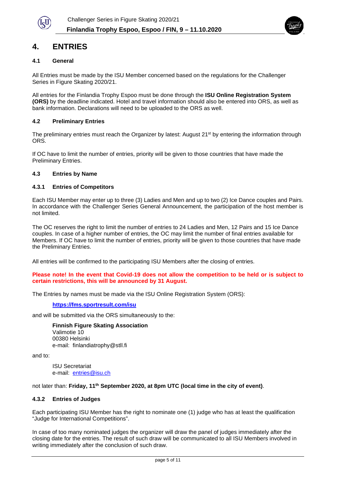

### **4. ENTRIES**

#### **4.1 General**

All Entries must be made by the ISU Member concerned based on the regulations for the Challenger Series in Figure Skating 2020/21.

All entries for the Finlandia Trophy Espoo must be done through the **ISU Online Registration System (ORS)** by the deadline indicated. Hotel and travel information should also be entered into ORS, as well as bank information. Declarations will need to be uploaded to the ORS as well.

#### **4.2 Preliminary Entries**

The preliminary entries must reach the Organizer by latest: August 21<sup>st</sup> by entering the information through ORS.

If OC have to limit the number of entries, priority will be given to those countries that have made the Preliminary Entries.

#### **4.3 Entries by Name**

#### **4.3.1 Entries of Competitors**

Each ISU Member may enter up to three (3) Ladies and Men and up to two (2) Ice Dance couples and Pairs. In accordance with the Challenger Series General Announcement, the participation of the host member is not limited.

The OC reserves the right to limit the number of entries to 24 Ladies and Men, 12 Pairs and 15 Ice Dance couples. In case of a higher number of entries, the OC may limit the number of final entries available for Members. If OC have to limit the number of entries, priority will be given to those countries that have made the Preliminary Entries.

All entries will be confirmed to the participating ISU Members after the closing of entries.

**Please note! In the event that Covid-19 does not allow the competition to be held or is subject to certain restrictions, this will be announced by 31 August.**

The Entries by names must be made via the ISU Online Registration System (ORS):

#### **<https://fms.sportresult.com/isu>**

and will be submitted via the ORS simultaneously to the:

**Finnish Figure Skating Association** Valimotie 10 00380 Helsinki

e-mail: finlandiatrophy@stll.fi

and to:

ISU Secretariat e-mail: [entries@isu.ch](mailto:entries@isu.ch)

not later than: **Friday, 11th September 2020, at 8pm UTC (local time in the city of event)**.

#### **4.3.2 Entries of Judges**

Each participating ISU Member has the right to nominate one (1) judge who has at least the qualification "Judge for International Competitions".

In case of too many nominated judges the organizer will draw the panel of judges immediately after the closing date for the entries. The result of such draw will be communicated to all ISU Members involved in writing immediately after the conclusion of such draw.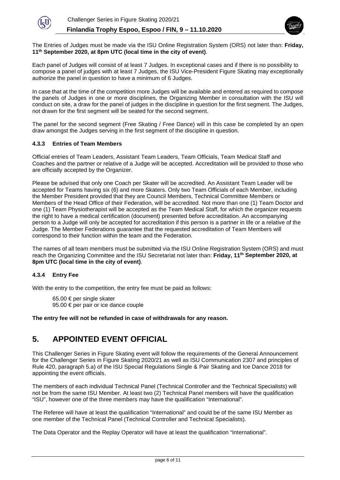



The Entries of Judges must be made via the ISU Online Registration System (ORS) not later than: **Friday, 11th September 2020, at 8pm UTC (local time in the city of event)**.

Each panel of Judges will consist of at least 7 Judges. In exceptional cases and if there is no possibility to compose a panel of judges with at least 7 Judges, the ISU Vice-President Figure Skating may exceptionally authorize the panel in question to have a minimum of 6 Judges.

In case that at the time of the competition more Judges will be available and entered as required to compose the panels of Judges in one or more disciplines, the Organizing Member in consultation with the ISU will conduct on site, a draw for the panel of judges in the discipline in question for the first segment. The Judges, not drawn for the first segment will be seated for the second segment.

The panel for the second segment (Free Skating / Free Dance) will in this case be completed by an open draw amongst the Judges serving in the first segment of the discipline in question.

#### **4.3.3 Entries of Team Members**

Official entries of Team Leaders, Assistant Team Leaders, Team Officials, Team Medical Staff and Coaches and the partner or relative of a Judge will be accepted. Accreditation will be provided to those who are officially accepted by the Organizer.

Please be advised that only one Coach per Skater will be accredited. An Assistant Team Leader will be accepted for Teams having six (6) and more Skaters. Only two Team Officials of each Member, including the Member President provided that they are Council Members, Technical Committee Members or Members of the Head Office of their Federation, will be accredited. Not more than one (1) Team Doctor and one (1) Team Physiotherapist will be accepted as the Team Medical Staff, for which the organizer requests the right to have a medical certification (document) presented before accreditation. An accompanying person to a Judge will only be accepted for accreditation if this person is a partner in life or a relative of the Judge. The Member Federations guarantee that the requested accreditation of Team Members will correspond to their function within the team and the Federation.

The names of all team members must be submitted via the ISU Online Registration System (ORS) and must reach the Organizing Committee and the ISU Secretariat not later than: **Friday, 11th September 2020, at 8pm UTC (local time in the city of event)**.

#### **4.3.4 Entry Fee**

With the entry to the competition, the entry fee must be paid as follows:

65.00 € per single skater 95.00 € per pair or ice dance couple

**The entry fee will not be refunded in case of withdrawals for any reason.** 

#### **5. APPOINTED EVENT OFFICIAL**

This Challenger Series in Figure Skating event will follow the requirements of the General Announcement for the Challenger Series in Figure Skating 2020/21 as well as ISU Communication 2307 and principles of Rule 420, paragraph 5.a) of the ISU Special Regulations Single & Pair Skating and Ice Dance 2018 for appointing the event officials.

The members of each individual Technical Panel (Technical Controller and the Technical Specialists) will not be from the same ISU Member. At least two (2) Technical Panel members will have the qualification "ISU", however one of the three members may have the qualification "International".

The Referee will have at least the qualification "International" and could be of the same ISU Member as one member of the Technical Panel (Technical Controller and Technical Specialists).

The Data Operator and the Replay Operator will have at least the qualification "International".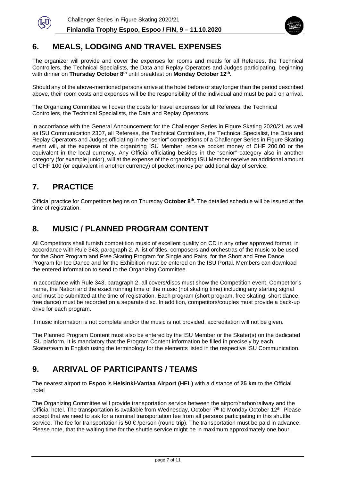



## **6. MEALS, LODGING AND TRAVEL EXPENSES**

The organizer will provide and cover the expenses for rooms and meals for all Referees, the Technical Controllers, the Technical Specialists, the Data and Replay Operators and Judges participating, beginning with dinner on **Thursday October 8th** until breakfast on **Monday October 12th.**

Should any of the above-mentioned persons arrive at the hotel before or stay longer than the period described above, their room costs and expenses will be the responsibility of the individual and must be paid on arrival.

The Organizing Committee will cover the costs for travel expenses for all Referees, the Technical Controllers, the Technical Specialists, the Data and Replay Operators.

In accordance with the General Announcement for the Challenger Series in Figure Skating 2020/21 as well as ISU Communication 2307, all Referees, the Technical Controllers, the Technical Specialist, the Data and Replay Operators and Judges officiating in the "senior" competitions of a Challenger Series in Figure Skating event will, at the expense of the organizing ISU Member, receive pocket money of CHF 200.00 or the equivalent in the local currency. Any Official officiating besides in the "senior" category also in another category (for example junior), will at the expense of the organizing ISU Member receive an additional amount of CHF 100 (or equivalent in another currency) of pocket money per additional day of service.

# **7. PRACTICE**

Official practice for Competitors begins on Thursday **October 8th.** The detailed schedule will be issued at the time of registration.

## **8. MUSIC / PLANNED PROGRAM CONTENT**

All Competitors shall furnish competition music of excellent quality on CD in any other approved format, in accordance with Rule 343, paragraph 2. A list of titles, composers and orchestras of the music to be used for the Short Program and Free Skating Program for Single and Pairs, for the Short and Free Dance Program for Ice Dance and for the Exhibition must be entered on the ISU Portal. Members can download the entered information to send to the Organizing Committee.

In accordance with Rule 343, paragraph 2, all covers/discs must show the Competition event, Competitor's name, the Nation and the exact running time of the music (not skating time) including any starting signal and must be submitted at the time of registration. Each program (short program, free skating, short dance, free dance) must be recorded on a separate disc. In addition, competitors/couples must provide a back-up drive for each program.

If music information is not complete and/or the music is not provided, accreditation will not be given.

The Planned Program Content must also be entered by the ISU Member or the Skater(s) on the dedicated ISU platform. It is mandatory that the Program Content information be filled in precisely by each Skater/team in English using the terminology for the elements listed in the respective ISU Communication.

### **9. ARRIVAL OF PARTICIPANTS / TEAMS**

The nearest airport to **Espoo** is **Helsinki-Vantaa Airport (HEL)** with a distance of **25 km** to the Official hotel

The Organizing Committee will provide transportation service between the airport/harbor/railway and the Official hotel. The transportation is available from Wednesday, October  $7<sup>th</sup>$  to Monday October 12<sup>th</sup>. Please accept that we need to ask for a nominal transportation fee from all persons participating in this shuttle service. The fee for transportation is 50 €/person (round trip). The transportation must be paid in advance. Please note, that the waiting time for the shuttle service might be in maximum approximately one hour.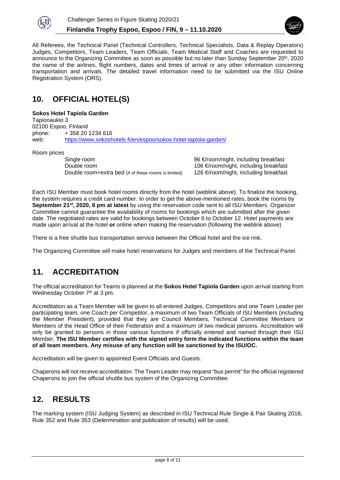



All Referees, the Technical Panel (Technical Controllers, Technical Specialists, Data & Replay Operators) Judges, Competitors, Team Leaders, Team Officials, Team Medical Staff and Coaches are requested to announce to the Organizing Committee as soon as possible but no later than Sunday September 20<sup>th</sup>, 2020 the name of the airlines, flight numbers, dates and times of arrival or any other information concerning transportation and arrivals. The detailed travel information need to be submitted via the ISU Online Registration System (ORS).

# **10. OFFICIAL HOTEL(S)**

#### **Sokos Hotel Tapiola Garden**

Tapionaukio 3 02100 Espoo, Finland phone: + 358 20 1234 616<br>web: https://www.sokosh <https://www.sokoshotels.fi/en/espoo/sokos-hotel-tapiola-garden/>

Room prices<br>Single room

Double room<br>Double room+extra bed (# of these rooms is limited) 126 €/room/night, including breakfast Double room+extra bed (# of these rooms is limited)

96 €/room/night, including breakfast

Each ISU Member must book hotel rooms directly from the hotel (weblink above). To finalize the booking, the system requires a credit card number. In order to get the above-mentioned rates, book the rooms by **September 21st, 2020, 8 pm at latest** by using the reservation code sent to all ISU Members. Organizer Committee cannot guarantee the availability of rooms for bookings which are submitted after the given date. The negotiated rates are valid for bookings between October 6 to October 12. Hotel payments are made upon arrival at the hotel **or** online when making the reservation (following the weblink above)

There is a free shuttle bus transportation service between the Official hotel and the ice rink.

The Organizing Committee will make hotel reservations for Judges and members of the Technical Panel.

# **11. ACCREDITATION**

The official accreditation for Teams is planned at the **Sokos Hotel Tapiola Garden** upon arrival starting from Wednesday October 7<sup>th</sup> at 3 pm.

Accreditation as a Team Member will be given to all entered Judges, Competitors and one Team Leader per participating team, one Coach per Competitor, a maximum of two Team Officials of ISU Members (including the Member President), provided that they are Council Members, Technical Committee Members or Members of the Head Office of their Federation and a maximum of two medical persons. Accreditation will only be granted to persons in those various functions if officially entered and named through their ISU Member. **The ISU Member certifies with the signed entry form the indicated functions within the team of all team members. Any misuse of any function will be sanctioned by the ISU/OC.**

Accreditation will be given to appointed Event Officials and Guests.

Chaperons will not receive accreditation. The Team Leader may request "bus permit" for the official registered Chaperons to join the official shuttle bus system of the Organizing Committee.

### **12. RESULTS**

The marking system (ISU Judging System) as described in ISU Technical Rule Single & Pair Skating 2018, Rule 352 and Rule 353 (Determination and publication of results) will be used.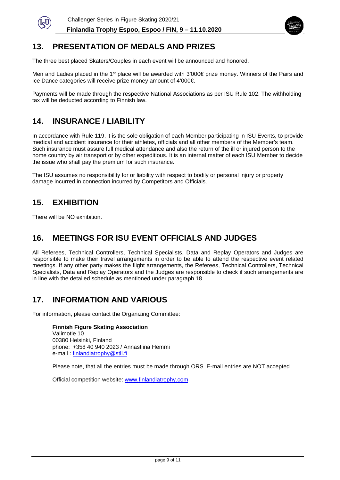



# **13. PRESENTATION OF MEDALS AND PRIZES**

The three best placed Skaters/Couples in each event will be announced and honored.

Men and Ladies placed in the 1<sup>st</sup> place will be awarded with 3'000€ prize money. Winners of the Pairs and Ice Dance categories will receive prize money amount of 4'000€.

Payments will be made through the respective National Associations as per ISU Rule 102. The withholding tax will be deducted according to Finnish law.

# **14. INSURANCE / LIABILITY**

In accordance with Rule 119, it is the sole obligation of each Member participating in ISU Events, to provide medical and accident insurance for their athletes, officials and all other members of the Member's team. Such insurance must assure full medical attendance and also the return of the ill or injured person to the home country by air transport or by other expeditious. It is an internal matter of each ISU Member to decide the issue who shall pay the premium for such insurance.

The ISU assumes no responsibility for or liability with respect to bodily or personal injury or property damage incurred in connection incurred by Competitors and Officials.

## **15. EXHIBITION**

There will be NO exhibition.

#### **16. MEETINGS FOR ISU EVENT OFFICIALS AND JUDGES**

All Referees, Technical Controllers, Technical Specialists, Data and Replay Operators and Judges are responsible to make their travel arrangements in order to be able to attend the respective event related meetings. If any other party makes the flight arrangements, the Referees, Technical Controllers, Technical Specialists, Data and Replay Operators and the Judges are responsible to check if such arrangements are in line with the detailed schedule as mentioned under paragraph 18.

### **17. INFORMATION AND VARIOUS**

For information, please contact the Organizing Committee:

**Finnish Figure Skating Association** Valimotie 10 00380 Helsinki, Finland phone: +358 40 940 2023 / Annastiina Hemmi e-mail : [finlandiatrophy@stll.fi](mailto:finlandiatrophy@stll.fi)

Please note, that all the entries must be made through ORS. E-mail entries are NOT accepted.

Official competition website: [www.finlandiatrophy.com](http://www.finlandiatrophy.com/)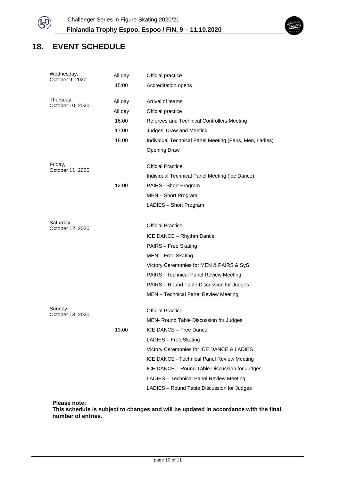

# **18. EVENT SCHEDULE**

| Wednesday,<br>October 9, 2020 | All day<br>15:00                              | Official practice<br>Accreditation opens                                                                                                                                                                                                                                                                                                                   |  |
|-------------------------------|-----------------------------------------------|------------------------------------------------------------------------------------------------------------------------------------------------------------------------------------------------------------------------------------------------------------------------------------------------------------------------------------------------------------|--|
| Thursday,<br>October 10, 2020 | All day<br>All day<br>16.00<br>17.00<br>18.00 | Arrival of teams<br>Official practice<br>Referees and Technical Controllers Meeting<br>Judges' Draw and Meeting<br>Individual Technical Panel Meeting (Pairs, Men, Ladies)<br>Opening Draw                                                                                                                                                                 |  |
| Friday,<br>October 11, 2020   | 12.00                                         | <b>Official Practice</b><br>Individual Technical Panel Meeting (Ice Dance)<br>PAIRS-Short Program<br>MEN - Short Program<br>LADIES - Short Program                                                                                                                                                                                                         |  |
| Saturday<br>October 12, 2020  |                                               | <b>Official Practice</b><br>ICE DANCE - Rhythm Dance<br>PAIRS - Free Skating<br>MEN - Free Skating<br>Victory Ceremonies for MEN & PAIRS & SyS<br>PAIRS - Technical Panel Review Meeting<br>PAIRS - Round Table Discussion for Judges<br>MEN - Technical Panel Review Meeting                                                                              |  |
| Sunday,<br>October 13, 2020   | 13.00                                         | <b>Official Practice</b><br>MEN- Round Table Discussion for Judges<br>ICE DANCE - Free Dance<br>LADIES - Free Skating<br>Victory Ceremonies for ICE DANCE & LADIES<br>ICE DANCE - Technical Panel Review Meeting<br>ICE DANCE - Round Table Discussion for Judges<br>LADIES - Technical Panel Review Meeting<br>LADIES - Round Table Discussion for Judges |  |

**Please note:**

**This schedule is subject to changes and will be updated in accordance with the final number of entries.**